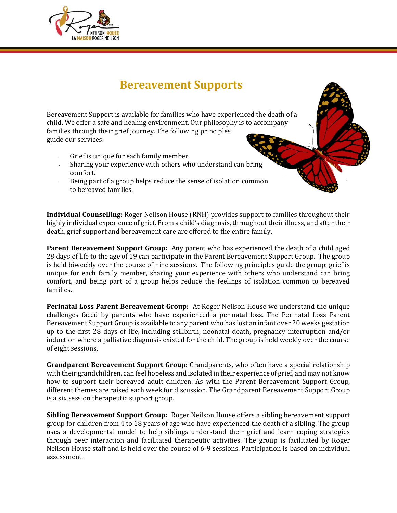

## **Bereavement Supports**

Bereavement Support is available for families who have experienced the death of a child. We offer a safe and healing environment. Our philosophy is to accompany families through their grief journey. The following principles guide our services:

- Grief is unique for each family member.
- Sharing your experience with others who understand can bring comfort.
- Being part of a group helps reduce the sense of isolation common to bereaved families.

**Individual Counselling:** Roger Neilson House (RNH) provides support to families throughout their highly individual experience of grief. From a child's diagnosis, throughout their illness, and after their death, grief support and bereavement care are offered to the entire family.

**Parent Bereavement Support Group:** Any parent who has experienced the death of a child aged 28 days of life to the age of 19 can participate in the Parent Bereavement Support Group. The group is held biweekly over the course of nine sessions. The following principles guide the group: grief is unique for each family member, sharing your experience with others who understand can bring comfort, and being part of a group helps reduce the feelings of isolation common to bereaved families.

**Perinatal Loss Parent Bereavement Group:** At Roger Neilson House we understand the unique challenges faced by parents who have experienced a perinatal loss. The Perinatal Loss Parent Bereavement Support Group is available to any parent who has lost an infant over 20 weeks gestation up to the first 28 days of life, including stillbirth, neonatal death, pregnancy interruption and/or induction where a palliative diagnosis existed for the child. The group is held weekly over the course of eight sessions.

**Grandparent Bereavement Support Group:** Grandparents, who often have a special relationship with their grandchildren, can feel hopeless and isolated in their experience of grief, and may not know how to support their bereaved adult children. As with the Parent Bereavement Support Group, different themes are raised each week for discussion. The Grandparent Bereavement Support Group is a six session therapeutic support group.

**Sibling Bereavement Support Group:** Roger Neilson House offers a sibling bereavement support group for children from 4 to 18 years of age who have experienced the death of a sibling. The group uses a developmental model to help siblings understand their grief and learn coping strategies through peer interaction and facilitated therapeutic activities. The group is facilitated by Roger Neilson House staff and is held over the course of 6-9 sessions. Participation is based on individual assessment.